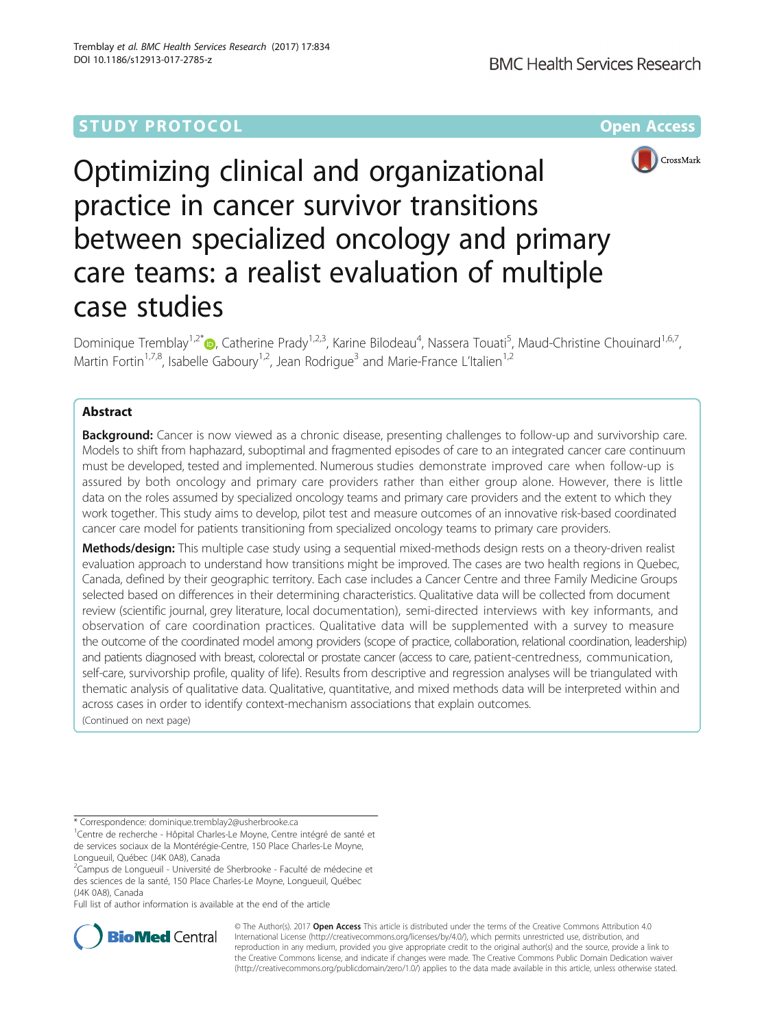# **STUDY PROTOCOL CONSUMING THE RESERVE ACCESS**



Optimizing clinical and organizational practice in cancer survivor transitions between specialized oncology and primary care teams: a realist evaluation of multiple case studies

Dominique Tremblay<sup>1[,](http://orcid.org/0000-0002-1798-5681)2\*</sup>®, Catherine Prady<sup>1,2,3</sup>, Karine Bilodeau<sup>4</sup>, Nassera Touati<sup>5</sup>, Maud-Christine Chouinard<sup>1,6,7</sup>, Martin Fortin<sup>1,7,8</sup>, Isabelle Gaboury<sup>1,2</sup>, Jean Rodrigue<sup>3</sup> and Marie-France L'Italien<sup>1,2</sup>

## Abstract

Background: Cancer is now viewed as a chronic disease, presenting challenges to follow-up and survivorship care. Models to shift from haphazard, suboptimal and fragmented episodes of care to an integrated cancer care continuum must be developed, tested and implemented. Numerous studies demonstrate improved care when follow-up is assured by both oncology and primary care providers rather than either group alone. However, there is little data on the roles assumed by specialized oncology teams and primary care providers and the extent to which they work together. This study aims to develop, pilot test and measure outcomes of an innovative risk-based coordinated cancer care model for patients transitioning from specialized oncology teams to primary care providers.

Methods/design: This multiple case study using a sequential mixed-methods design rests on a theory-driven realist evaluation approach to understand how transitions might be improved. The cases are two health regions in Quebec, Canada, defined by their geographic territory. Each case includes a Cancer Centre and three Family Medicine Groups selected based on differences in their determining characteristics. Qualitative data will be collected from document review (scientific journal, grey literature, local documentation), semi-directed interviews with key informants, and observation of care coordination practices. Qualitative data will be supplemented with a survey to measure the outcome of the coordinated model among providers (scope of practice, collaboration, relational coordination, leadership) and patients diagnosed with breast, colorectal or prostate cancer (access to care, patient-centredness, communication, self-care, survivorship profile, quality of life). Results from descriptive and regression analyses will be triangulated with thematic analysis of qualitative data. Qualitative, quantitative, and mixed methods data will be interpreted within and across cases in order to identify context-mechanism associations that explain outcomes. (Continued on next page)

\* Correspondence: [dominique.tremblay2@usherbrooke.ca](mailto:dominique.tremblay2@usherbrooke.ca) <sup>1</sup>

Centre de recherche - Hôpital Charles-Le Moyne, Centre intégré de santé et de services sociaux de la Montérégie-Centre, 150 Place Charles-Le Moyne, Longueuil, Québec (J4K 0A8), Canada

Full list of author information is available at the end of the article



© The Author(s). 2017 **Open Access** This article is distributed under the terms of the Creative Commons Attribution 4.0 International License [\(http://creativecommons.org/licenses/by/4.0/](http://creativecommons.org/licenses/by/4.0/)), which permits unrestricted use, distribution, and reproduction in any medium, provided you give appropriate credit to the original author(s) and the source, provide a link to the Creative Commons license, and indicate if changes were made. The Creative Commons Public Domain Dedication waiver [\(http://creativecommons.org/publicdomain/zero/1.0/](http://creativecommons.org/publicdomain/zero/1.0/)) applies to the data made available in this article, unless otherwise stated.

<sup>&</sup>lt;sup>2</sup>Campus de Longueuil - Université de Sherbrooke - Faculté de médecine et des sciences de la santé, 150 Place Charles-Le Moyne, Longueuil, Québec (J4K 0A8), Canada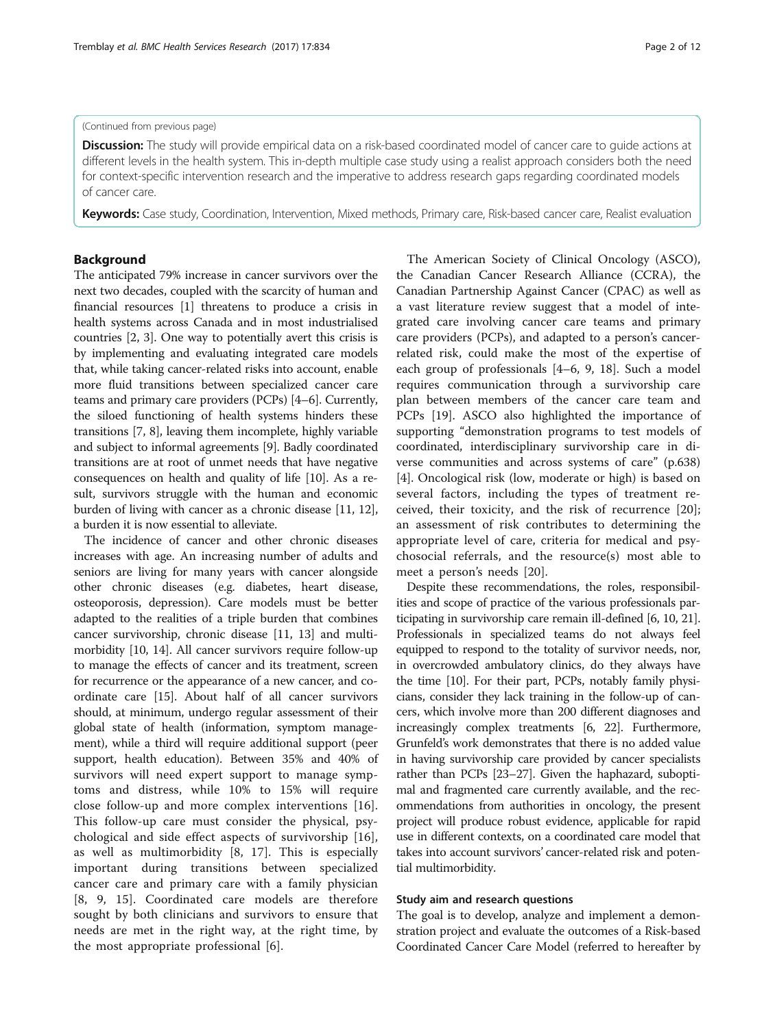#### (Continued from previous page)

Discussion: The study will provide empirical data on a risk-based coordinated model of cancer care to guide actions at different levels in the health system. This in-depth multiple case study using a realist approach considers both the need for context-specific intervention research and the imperative to address research gaps regarding coordinated models of cancer care.

Keywords: Case study, Coordination, Intervention, Mixed methods, Primary care, Risk-based cancer care, Realist evaluation

## Background

The anticipated 79% increase in cancer survivors over the next two decades, coupled with the scarcity of human and financial resources [[1](#page-10-0)] threatens to produce a crisis in health systems across Canada and in most industrialised countries [\[2](#page-10-0), [3](#page-10-0)]. One way to potentially avert this crisis is by implementing and evaluating integrated care models that, while taking cancer-related risks into account, enable more fluid transitions between specialized cancer care teams and primary care providers (PCPs) [[4](#page-10-0)–[6](#page-10-0)]. Currently, the siloed functioning of health systems hinders these transitions [[7, 8\]](#page-10-0), leaving them incomplete, highly variable and subject to informal agreements [\[9\]](#page-10-0). Badly coordinated transitions are at root of unmet needs that have negative consequences on health and quality of life [[10\]](#page-10-0). As a result, survivors struggle with the human and economic burden of living with cancer as a chronic disease [[11](#page-10-0), [12](#page-10-0)], a burden it is now essential to alleviate.

The incidence of cancer and other chronic diseases increases with age. An increasing number of adults and seniors are living for many years with cancer alongside other chronic diseases (e.g. diabetes, heart disease, osteoporosis, depression). Care models must be better adapted to the realities of a triple burden that combines cancer survivorship, chronic disease [\[11, 13\]](#page-10-0) and multimorbidity [\[10, 14](#page-10-0)]. All cancer survivors require follow-up to manage the effects of cancer and its treatment, screen for recurrence or the appearance of a new cancer, and coordinate care [\[15\]](#page-10-0). About half of all cancer survivors should, at minimum, undergo regular assessment of their global state of health (information, symptom management), while a third will require additional support (peer support, health education). Between 35% and 40% of survivors will need expert support to manage symptoms and distress, while 10% to 15% will require close follow-up and more complex interventions [[16](#page-10-0)]. This follow-up care must consider the physical, psychological and side effect aspects of survivorship [\[16](#page-10-0)], as well as multimorbidity [[8, 17](#page-10-0)]. This is especially important during transitions between specialized cancer care and primary care with a family physician [[8, 9](#page-10-0), [15](#page-10-0)]. Coordinated care models are therefore sought by both clinicians and survivors to ensure that needs are met in the right way, at the right time, by the most appropriate professional [\[6](#page-10-0)].

The American Society of Clinical Oncology (ASCO), the Canadian Cancer Research Alliance (CCRA), the Canadian Partnership Against Cancer (CPAC) as well as a vast literature review suggest that a model of integrated care involving cancer care teams and primary care providers (PCPs), and adapted to a person's cancerrelated risk, could make the most of the expertise of each group of professionals [[4](#page-10-0)–[6, 9, 18\]](#page-10-0). Such a model requires communication through a survivorship care plan between members of the cancer care team and PCPs [[19\]](#page-10-0). ASCO also highlighted the importance of supporting "demonstration programs to test models of coordinated, interdisciplinary survivorship care in diverse communities and across systems of care" (p.638) [[4\]](#page-10-0). Oncological risk (low, moderate or high) is based on several factors, including the types of treatment received, their toxicity, and the risk of recurrence [\[20](#page-10-0)]; an assessment of risk contributes to determining the appropriate level of care, criteria for medical and psychosocial referrals, and the resource(s) most able to meet a person's needs [[20\]](#page-10-0).

Despite these recommendations, the roles, responsibilities and scope of practice of the various professionals participating in survivorship care remain ill-defined [\[6, 10](#page-10-0), [21](#page-10-0)]. Professionals in specialized teams do not always feel equipped to respond to the totality of survivor needs, nor, in overcrowded ambulatory clinics, do they always have the time [\[10](#page-10-0)]. For their part, PCPs, notably family physicians, consider they lack training in the follow-up of cancers, which involve more than 200 different diagnoses and increasingly complex treatments [\[6, 22](#page-10-0)]. Furthermore, Grunfeld's work demonstrates that there is no added value in having survivorship care provided by cancer specialists rather than PCPs [[23](#page-10-0)–[27](#page-10-0)]. Given the haphazard, suboptimal and fragmented care currently available, and the recommendations from authorities in oncology, the present project will produce robust evidence, applicable for rapid use in different contexts, on a coordinated care model that takes into account survivors' cancer-related risk and potential multimorbidity.

## Study aim and research questions

The goal is to develop, analyze and implement a demonstration project and evaluate the outcomes of a Risk-based Coordinated Cancer Care Model (referred to hereafter by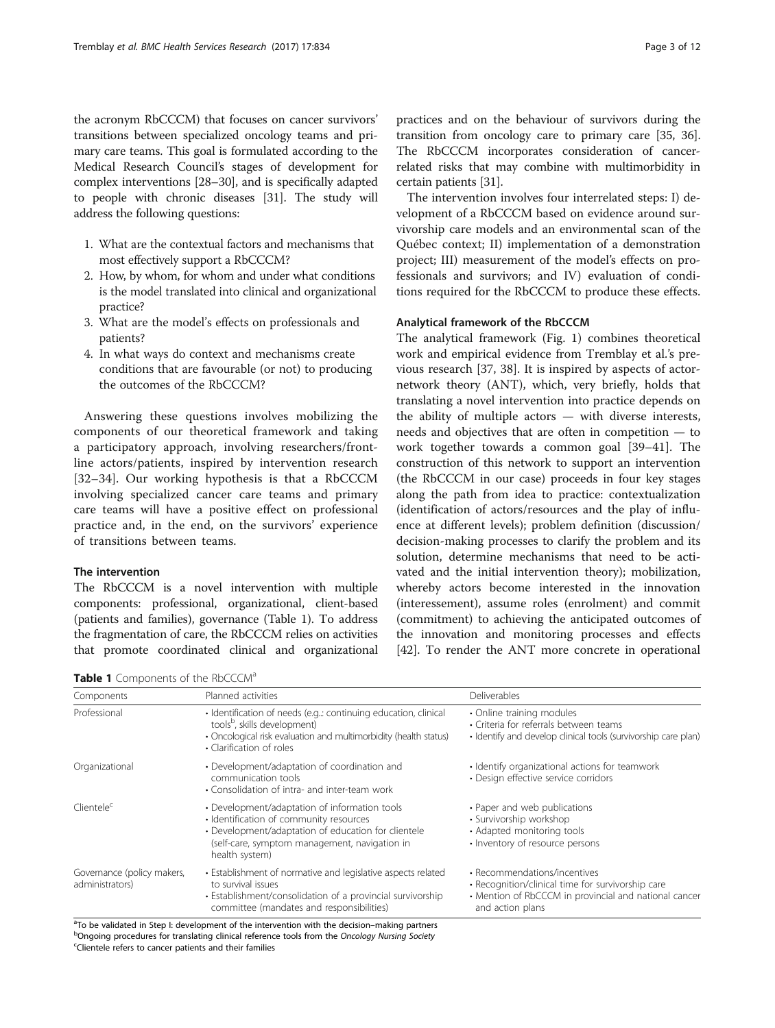the acronym RbCCCM) that focuses on cancer survivors' transitions between specialized oncology teams and primary care teams. This goal is formulated according to the Medical Research Council's stages of development for complex interventions [[28](#page-10-0)–[30\]](#page-10-0), and is specifically adapted to people with chronic diseases [\[31\]](#page-10-0). The study will address the following questions:

- 1. What are the contextual factors and mechanisms that most effectively support a RbCCCM?
- 2. How, by whom, for whom and under what conditions is the model translated into clinical and organizational practice?
- 3. What are the model's effects on professionals and patients?
- 4. In what ways do context and mechanisms create conditions that are favourable (or not) to producing the outcomes of the RbCCCM?

Answering these questions involves mobilizing the components of our theoretical framework and taking a participatory approach, involving researchers/frontline actors/patients, inspired by intervention research [[32](#page-10-0)–[34\]](#page-10-0). Our working hypothesis is that a RbCCCM involving specialized cancer care teams and primary care teams will have a positive effect on professional practice and, in the end, on the survivors' experience of transitions between teams.

#### The intervention

The RbCCCM is a novel intervention with multiple components: professional, organizational, client-based (patients and families), governance (Table 1). To address the fragmentation of care, the RbCCCM relies on activities that promote coordinated clinical and organizational

practices and on the behaviour of survivors during the transition from oncology care to primary care [\[35, 36](#page-10-0)]. The RbCCCM incorporates consideration of cancerrelated risks that may combine with multimorbidity in certain patients [\[31\]](#page-10-0).

The intervention involves four interrelated steps: I) development of a RbCCCM based on evidence around survivorship care models and an environmental scan of the Québec context; II) implementation of a demonstration project; III) measurement of the model's effects on professionals and survivors; and IV) evaluation of conditions required for the RbCCCM to produce these effects.

## Analytical framework of the RbCCCM

The analytical framework (Fig. [1](#page-3-0)) combines theoretical work and empirical evidence from Tremblay et al.'s previous research [[37](#page-10-0), [38](#page-10-0)]. It is inspired by aspects of actornetwork theory (ANT), which, very briefly, holds that translating a novel intervention into practice depends on the ability of multiple actors — with diverse interests, needs and objectives that are often in competition — to work together towards a common goal [[39](#page-10-0)–[41](#page-10-0)]. The construction of this network to support an intervention (the RbCCCM in our case) proceeds in four key stages along the path from idea to practice: contextualization (identification of actors/resources and the play of influence at different levels); problem definition (discussion/ decision-making processes to clarify the problem and its solution, determine mechanisms that need to be activated and the initial intervention theory); mobilization, whereby actors become interested in the innovation (interessement), assume roles (enrolment) and commit (commitment) to achieving the anticipated outcomes of the innovation and monitoring processes and effects [[42\]](#page-10-0). To render the ANT more concrete in operational

Table 1 Components of the RhCCCM<sup>a</sup>

| <b>I GOTTLOTICITY</b> OF THE HOLLOWI          |                                                                                                                                                                                                                    |                                                                                                                                                                |  |  |  |  |  |
|-----------------------------------------------|--------------------------------------------------------------------------------------------------------------------------------------------------------------------------------------------------------------------|----------------------------------------------------------------------------------------------------------------------------------------------------------------|--|--|--|--|--|
| Components                                    | Planned activities                                                                                                                                                                                                 | Deliverables                                                                                                                                                   |  |  |  |  |  |
| Professional                                  | · Identification of needs (e.g. continuing education, clinical<br>tools <sup>b</sup> , skills development)<br>• Oncological risk evaluation and multimorbidity (health status)<br>• Clarification of roles         | • Online training modules<br>• Criteria for referrals between teams<br>• Identify and develop clinical tools (survivorship care plan)                          |  |  |  |  |  |
| Organizational                                | • Development/adaptation of coordination and<br>communication tools<br>• Consolidation of intra- and inter-team work                                                                                               | · Identify organizational actions for teamwork<br>• Design effective service corridors                                                                         |  |  |  |  |  |
| Clientele <sup>c</sup>                        | • Development/adaptation of information tools<br>• Identification of community resources<br>• Development/adaptation of education for clientele<br>(self-care, symptom management, navigation in<br>health system) | • Paper and web publications<br>• Survivorship workshop<br>• Adapted monitoring tools<br>• Inventory of resource persons                                       |  |  |  |  |  |
| Governance (policy makers,<br>administrators) | • Establishment of normative and legislative aspects related<br>to survival issues<br>• Establishment/consolidation of a provincial survivorship<br>committee (mandates and responsibilities)                      | • Recommendations/incentives<br>• Recognition/clinical time for survivorship care<br>• Mention of RbCCCM in provincial and national cancer<br>and action plans |  |  |  |  |  |

<sup>a</sup> To be validated in Step I: development of the intervention with the decision–making partners<br><sup>b</sup>Opgeing procedures for translating clinical reference tools from the Opseloay Nurring Society. <sup>b</sup>Ongoing procedures for translating clinical reference tools from the Oncology Nursing Society Clientele refers to cancer patients and their families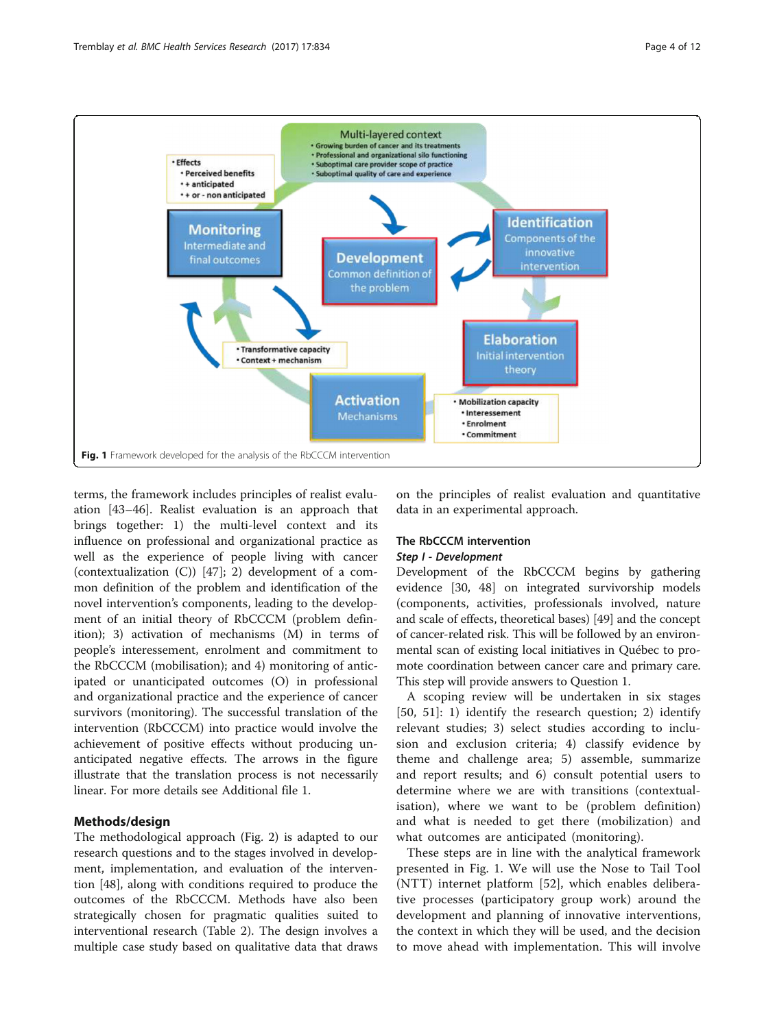<span id="page-3-0"></span>

terms, the framework includes principles of realist evaluation [\[43](#page-10-0)–[46\]](#page-11-0). Realist evaluation is an approach that brings together: 1) the multi-level context and its influence on professional and organizational practice as well as the experience of people living with cancer (contextualization  $(C)$ ) [[47](#page-11-0)]; 2) development of a common definition of the problem and identification of the novel intervention's components, leading to the development of an initial theory of RbCCCM (problem definition); 3) activation of mechanisms (M) in terms of people's interessement, enrolment and commitment to the RbCCCM (mobilisation); and 4) monitoring of anticipated or unanticipated outcomes (O) in professional and organizational practice and the experience of cancer survivors (monitoring). The successful translation of the intervention (RbCCCM) into practice would involve the achievement of positive effects without producing unanticipated negative effects. The arrows in the figure illustrate that the translation process is not necessarily linear. For more details see Additional file [1.](#page-9-0)

## Methods/design

The methodological approach (Fig. [2](#page-4-0)) is adapted to our research questions and to the stages involved in development, implementation, and evaluation of the intervention [[48](#page-11-0)], along with conditions required to produce the outcomes of the RbCCCM. Methods have also been strategically chosen for pragmatic qualities suited to interventional research (Table [2\)](#page-5-0). The design involves a multiple case study based on qualitative data that draws on the principles of realist evaluation and quantitative data in an experimental approach.

## The RbCCCM intervention

## Step I - Development

Development of the RbCCCM begins by gathering evidence [[30,](#page-10-0) [48](#page-11-0)] on integrated survivorship models (components, activities, professionals involved, nature and scale of effects, theoretical bases) [\[49\]](#page-11-0) and the concept of cancer-related risk. This will be followed by an environmental scan of existing local initiatives in Québec to promote coordination between cancer care and primary care. This step will provide answers to Question 1.

A scoping review will be undertaken in six stages [[50, 51\]](#page-11-0): 1) identify the research question; 2) identify relevant studies; 3) select studies according to inclusion and exclusion criteria; 4) classify evidence by theme and challenge area; 5) assemble, summarize and report results; and 6) consult potential users to determine where we are with transitions (contextualisation), where we want to be (problem definition) and what is needed to get there (mobilization) and what outcomes are anticipated (monitoring).

These steps are in line with the analytical framework presented in Fig. 1. We will use the Nose to Tail Tool (NTT) internet platform [[52\]](#page-11-0), which enables deliberative processes (participatory group work) around the development and planning of innovative interventions, the context in which they will be used, and the decision to move ahead with implementation. This will involve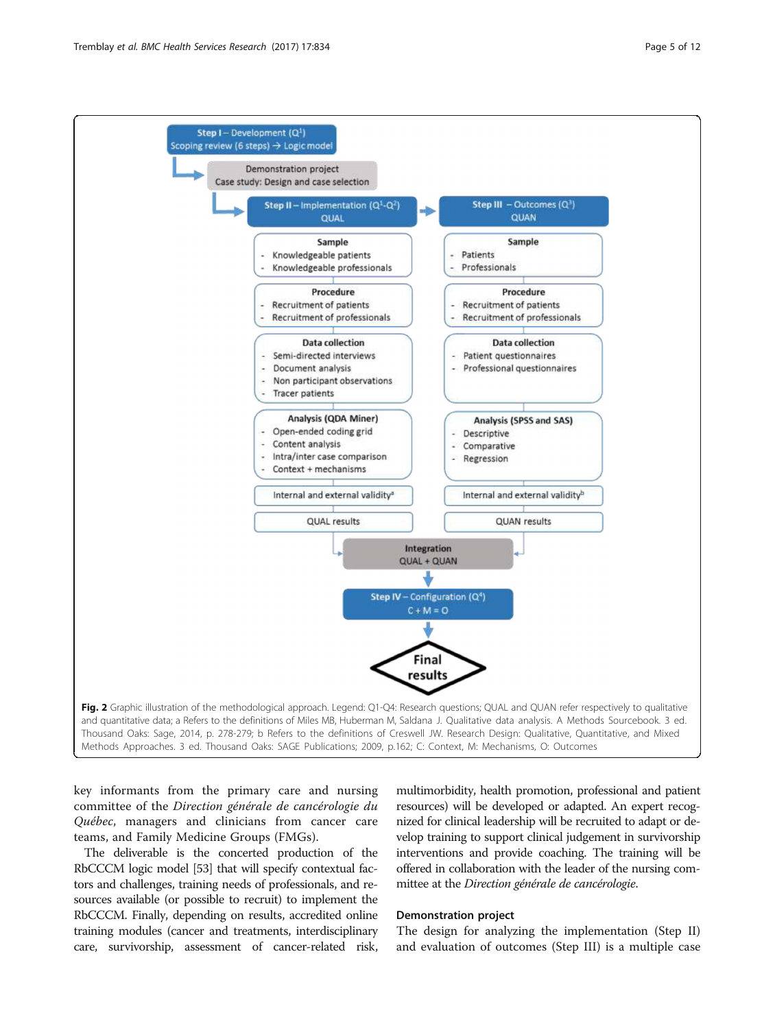<span id="page-4-0"></span>

key informants from the primary care and nursing committee of the Direction générale de cancérologie du Québec, managers and clinicians from cancer care teams, and Family Medicine Groups (FMGs).

The deliverable is the concerted production of the RbCCCM logic model [\[53\]](#page-11-0) that will specify contextual factors and challenges, training needs of professionals, and resources available (or possible to recruit) to implement the RbCCCM. Finally, depending on results, accredited online training modules (cancer and treatments, interdisciplinary care, survivorship, assessment of cancer-related risk,

multimorbidity, health promotion, professional and patient resources) will be developed or adapted. An expert recognized for clinical leadership will be recruited to adapt or develop training to support clinical judgement in survivorship interventions and provide coaching. The training will be offered in collaboration with the leader of the nursing committee at the Direction générale de cancérologie.

## Demonstration project

The design for analyzing the implementation (Step II) and evaluation of outcomes (Step III) is a multiple case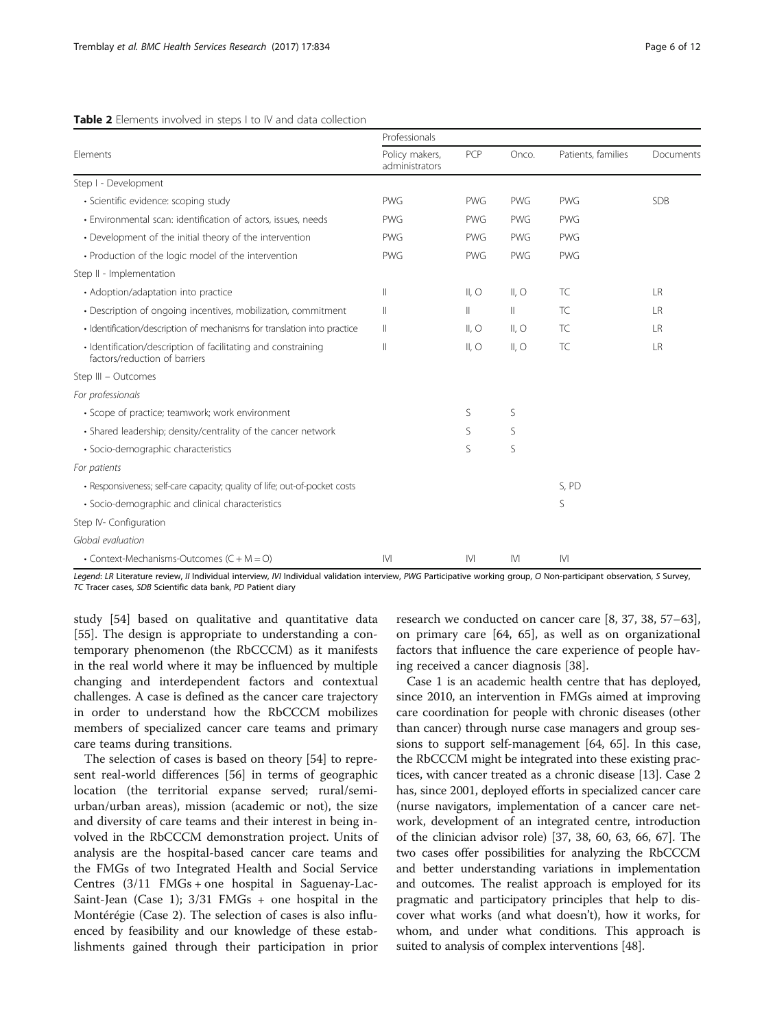#### <span id="page-5-0"></span>Table 2 Elements involved in steps I to IV and data collection

|                                                                                                | Professionals                    |              |             |                    |            |  |
|------------------------------------------------------------------------------------------------|----------------------------------|--------------|-------------|--------------------|------------|--|
| Elements                                                                                       | Policy makers,<br>administrators | PCP          | Onco.       | Patients, families | Documents  |  |
| Step I - Development                                                                           |                                  |              |             |                    |            |  |
| · Scientific evidence: scoping study                                                           | <b>PWG</b>                       | <b>PWG</b>   | <b>PWG</b>  | <b>PWG</b>         | <b>SDB</b> |  |
| · Environmental scan: identification of actors, issues, needs                                  | <b>PWG</b>                       | <b>PWG</b>   | <b>PWG</b>  | <b>PWG</b>         |            |  |
| • Development of the initial theory of the intervention                                        | <b>PWG</b>                       | <b>PWG</b>   | <b>PWG</b>  | <b>PWG</b>         |            |  |
| • Production of the logic model of the intervention                                            | <b>PWG</b>                       | <b>PWG</b>   | <b>PWG</b>  | <b>PWG</b>         |            |  |
| Step II - Implementation                                                                       |                                  |              |             |                    |            |  |
| • Adoption/adaptation into practice                                                            | $\mathsf{II}$                    | II, O        | II, O       | <b>TC</b>          | IR         |  |
| • Description of ongoing incentives, mobilization, commitment                                  | $\mathsf{II}$                    | $\mathbf{H}$ | $\parallel$ | TC                 | <b>LR</b>  |  |
| • Identification/description of mechanisms for translation into practice                       | Ш                                | II, O        | II, O       | TC                 | <b>LR</b>  |  |
| · Identification/description of facilitating and constraining<br>factors/reduction of barriers | Ш                                | II, O        | II, O       | <b>TC</b>          | <b>LR</b>  |  |
| Step III - Outcomes                                                                            |                                  |              |             |                    |            |  |
| For professionals                                                                              |                                  |              |             |                    |            |  |
| · Scope of practice; teamwork; work environment                                                |                                  | S            | S           |                    |            |  |
| · Shared leadership; density/centrality of the cancer network                                  |                                  | S            | S           |                    |            |  |
| · Socio-demographic characteristics                                                            |                                  | S            | S           |                    |            |  |
| For patients                                                                                   |                                  |              |             |                    |            |  |
| · Responsiveness; self-care capacity; quality of life; out-of-pocket costs                     |                                  |              |             | S, PD              |            |  |
| · Socio-demographic and clinical characteristics                                               |                                  |              |             | S                  |            |  |
| Step IV- Configuration                                                                         |                                  |              |             |                    |            |  |
| Global evaluation                                                                              |                                  |              |             |                    |            |  |
| • Context-Mechanisms-Outcomes $(C + M = O)$                                                    | IVI                              | IVI          | IVI         | IVI                |            |  |

Legend: LR Literature review, Il Individual interview, IVI Individual validation interview, PWG Participative working group, O Non-participant observation, S Survey, TC Tracer cases, SDB Scientific data bank, PD Patient diary

study [\[54](#page-11-0)] based on qualitative and quantitative data [[55\]](#page-11-0). The design is appropriate to understanding a contemporary phenomenon (the RbCCCM) as it manifests in the real world where it may be influenced by multiple changing and interdependent factors and contextual challenges. A case is defined as the cancer care trajectory in order to understand how the RbCCCM mobilizes members of specialized cancer care teams and primary care teams during transitions.

The selection of cases is based on theory [\[54](#page-11-0)] to represent real-world differences [\[56\]](#page-11-0) in terms of geographic location (the territorial expanse served; rural/semiurban/urban areas), mission (academic or not), the size and diversity of care teams and their interest in being involved in the RbCCCM demonstration project. Units of analysis are the hospital-based cancer care teams and the FMGs of two Integrated Health and Social Service Centres (3/11 FMGs + one hospital in Saguenay-Lac-Saint-Jean (Case 1); 3/31 FMGs + one hospital in the Montérégie (Case 2). The selection of cases is also influenced by feasibility and our knowledge of these establishments gained through their participation in prior

research we conducted on cancer care [[8, 37, 38,](#page-10-0) [57](#page-11-0)–[63](#page-11-0)], on primary care [[64](#page-11-0), [65](#page-11-0)], as well as on organizational factors that influence the care experience of people having received a cancer diagnosis [[38](#page-10-0)].

Case 1 is an academic health centre that has deployed, since 2010, an intervention in FMGs aimed at improving care coordination for people with chronic diseases (other than cancer) through nurse case managers and group sessions to support self-management [\[64, 65\]](#page-11-0). In this case, the RbCCCM might be integrated into these existing practices, with cancer treated as a chronic disease [[13\]](#page-10-0). Case 2 has, since 2001, deployed efforts in specialized cancer care (nurse navigators, implementation of a cancer care network, development of an integrated centre, introduction of the clinician advisor role) [\[37, 38](#page-10-0), [60, 63, 66](#page-11-0), [67\]](#page-11-0). The two cases offer possibilities for analyzing the RbCCCM and better understanding variations in implementation and outcomes. The realist approach is employed for its pragmatic and participatory principles that help to discover what works (and what doesn't), how it works, for whom, and under what conditions. This approach is suited to analysis of complex interventions [[48](#page-11-0)].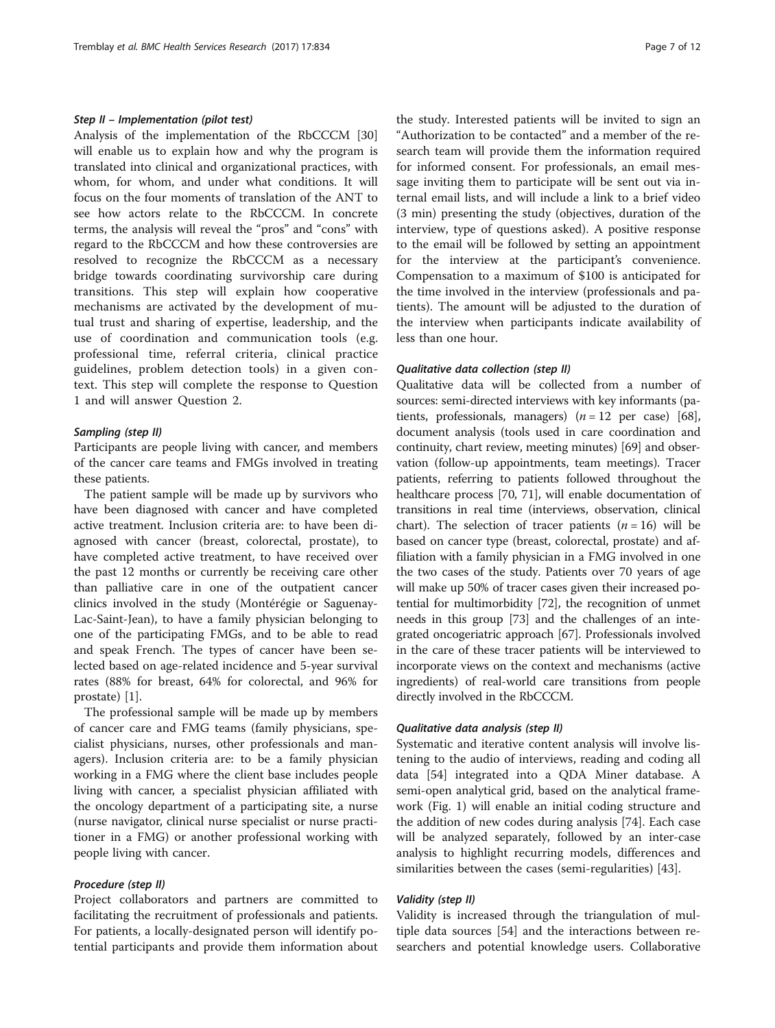#### Step II – Implementation (pilot test)

Analysis of the implementation of the RbCCCM [[30](#page-10-0)] will enable us to explain how and why the program is translated into clinical and organizational practices, with whom, for whom, and under what conditions. It will focus on the four moments of translation of the ANT to see how actors relate to the RbCCCM. In concrete terms, the analysis will reveal the "pros" and "cons" with regard to the RbCCCM and how these controversies are resolved to recognize the RbCCCM as a necessary bridge towards coordinating survivorship care during transitions. This step will explain how cooperative mechanisms are activated by the development of mutual trust and sharing of expertise, leadership, and the use of coordination and communication tools (e.g. professional time, referral criteria, clinical practice guidelines, problem detection tools) in a given context. This step will complete the response to Question 1 and will answer Question 2.

## Sampling (step II)

Participants are people living with cancer, and members of the cancer care teams and FMGs involved in treating these patients.

The patient sample will be made up by survivors who have been diagnosed with cancer and have completed active treatment. Inclusion criteria are: to have been diagnosed with cancer (breast, colorectal, prostate), to have completed active treatment, to have received over the past 12 months or currently be receiving care other than palliative care in one of the outpatient cancer clinics involved in the study (Montérégie or Saguenay-Lac-Saint-Jean), to have a family physician belonging to one of the participating FMGs, and to be able to read and speak French. The types of cancer have been selected based on age-related incidence and 5-year survival rates (88% for breast, 64% for colorectal, and 96% for prostate) [[1\]](#page-10-0).

The professional sample will be made up by members of cancer care and FMG teams (family physicians, specialist physicians, nurses, other professionals and managers). Inclusion criteria are: to be a family physician working in a FMG where the client base includes people living with cancer, a specialist physician affiliated with the oncology department of a participating site, a nurse (nurse navigator, clinical nurse specialist or nurse practitioner in a FMG) or another professional working with people living with cancer.

## Procedure (step II)

Project collaborators and partners are committed to facilitating the recruitment of professionals and patients. For patients, a locally-designated person will identify potential participants and provide them information about

the study. Interested patients will be invited to sign an "Authorization to be contacted" and a member of the research team will provide them the information required for informed consent. For professionals, an email message inviting them to participate will be sent out via internal email lists, and will include a link to a brief video (3 min) presenting the study (objectives, duration of the interview, type of questions asked). A positive response to the email will be followed by setting an appointment for the interview at the participant's convenience. Compensation to a maximum of \$100 is anticipated for the time involved in the interview (professionals and patients). The amount will be adjusted to the duration of the interview when participants indicate availability of less than one hour.

#### Qualitative data collection (step II)

Qualitative data will be collected from a number of sources: semi-directed interviews with key informants (patients, professionals, managers)  $(n = 12 \text{ per case})$  [[68](#page-11-0)], document analysis (tools used in care coordination and continuity, chart review, meeting minutes) [\[69](#page-11-0)] and observation (follow-up appointments, team meetings). Tracer patients, referring to patients followed throughout the healthcare process [[70](#page-11-0), [71\]](#page-11-0), will enable documentation of transitions in real time (interviews, observation, clinical chart). The selection of tracer patients  $(n = 16)$  will be based on cancer type (breast, colorectal, prostate) and affiliation with a family physician in a FMG involved in one the two cases of the study. Patients over 70 years of age will make up 50% of tracer cases given their increased potential for multimorbidity [\[72\]](#page-11-0), the recognition of unmet needs in this group [\[73\]](#page-11-0) and the challenges of an integrated oncogeriatric approach [[67\]](#page-11-0). Professionals involved in the care of these tracer patients will be interviewed to incorporate views on the context and mechanisms (active ingredients) of real-world care transitions from people directly involved in the RbCCCM.

#### Qualitative data analysis (step II)

Systematic and iterative content analysis will involve listening to the audio of interviews, reading and coding all data [\[54\]](#page-11-0) integrated into a QDA Miner database. A semi-open analytical grid, based on the analytical framework (Fig. [1\)](#page-3-0) will enable an initial coding structure and the addition of new codes during analysis [[74\]](#page-11-0). Each case will be analyzed separately, followed by an inter-case analysis to highlight recurring models, differences and similarities between the cases (semi-regularities) [\[43](#page-10-0)].

## Validity (step II)

Validity is increased through the triangulation of multiple data sources [\[54\]](#page-11-0) and the interactions between researchers and potential knowledge users. Collaborative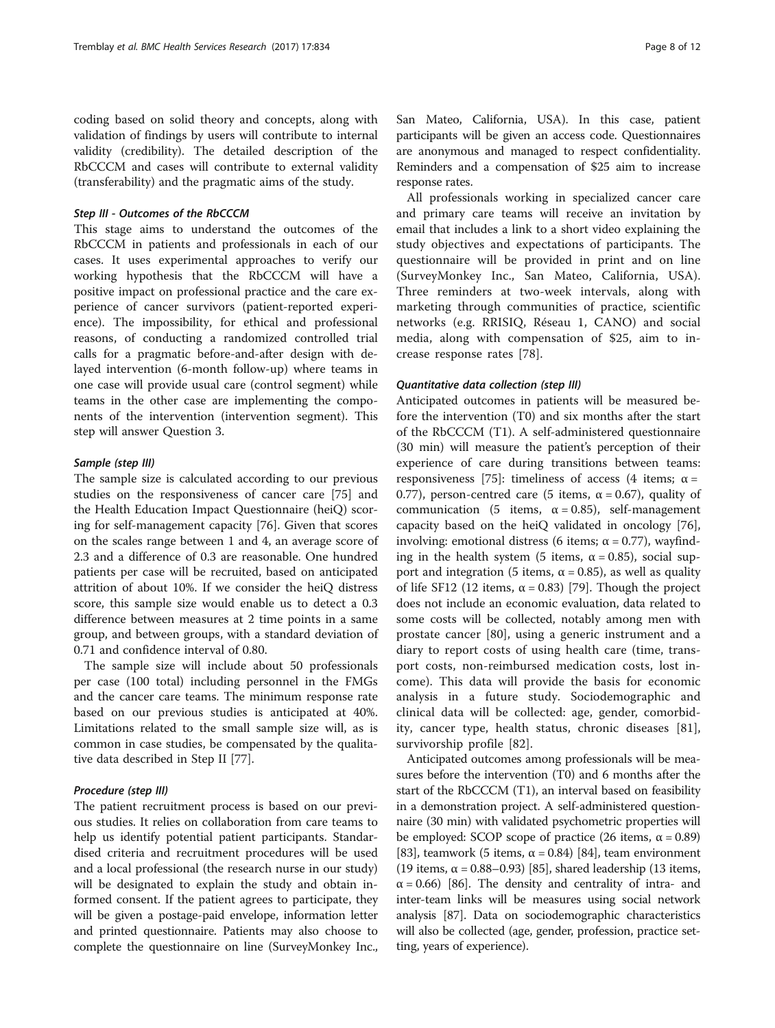coding based on solid theory and concepts, along with validation of findings by users will contribute to internal validity (credibility). The detailed description of the RbCCCM and cases will contribute to external validity (transferability) and the pragmatic aims of the study.

## Step III - Outcomes of the RbCCCM

This stage aims to understand the outcomes of the RbCCCM in patients and professionals in each of our cases. It uses experimental approaches to verify our working hypothesis that the RbCCCM will have a positive impact on professional practice and the care experience of cancer survivors (patient-reported experience). The impossibility, for ethical and professional reasons, of conducting a randomized controlled trial calls for a pragmatic before-and-after design with delayed intervention (6-month follow-up) where teams in one case will provide usual care (control segment) while teams in the other case are implementing the components of the intervention (intervention segment). This step will answer Question 3.

## Sample (step III)

The sample size is calculated according to our previous studies on the responsiveness of cancer care [[75](#page-11-0)] and the Health Education Impact Questionnaire (heiQ) scoring for self-management capacity [\[76](#page-11-0)]. Given that scores on the scales range between 1 and 4, an average score of 2.3 and a difference of 0.3 are reasonable. One hundred patients per case will be recruited, based on anticipated attrition of about 10%. If we consider the heiQ distress score, this sample size would enable us to detect a 0.3 difference between measures at 2 time points in a same group, and between groups, with a standard deviation of 0.71 and confidence interval of 0.80.

The sample size will include about 50 professionals per case (100 total) including personnel in the FMGs and the cancer care teams. The minimum response rate based on our previous studies is anticipated at 40%. Limitations related to the small sample size will, as is common in case studies, be compensated by the qualitative data described in Step II [\[77](#page-11-0)].

#### Procedure (step III)

The patient recruitment process is based on our previous studies. It relies on collaboration from care teams to help us identify potential patient participants. Standardised criteria and recruitment procedures will be used and a local professional (the research nurse in our study) will be designated to explain the study and obtain informed consent. If the patient agrees to participate, they will be given a postage-paid envelope, information letter and printed questionnaire. Patients may also choose to complete the questionnaire on line (SurveyMonkey Inc., San Mateo, California, USA). In this case, patient participants will be given an access code. Questionnaires are anonymous and managed to respect confidentiality. Reminders and a compensation of \$25 aim to increase response rates.

All professionals working in specialized cancer care and primary care teams will receive an invitation by email that includes a link to a short video explaining the study objectives and expectations of participants. The questionnaire will be provided in print and on line (SurveyMonkey Inc., San Mateo, California, USA). Three reminders at two-week intervals, along with marketing through communities of practice, scientific networks (e.g. RRISIQ, Réseau 1, CANO) and social media, along with compensation of \$25, aim to increase response rates [[78\]](#page-11-0).

## Quantitative data collection (step III)

Anticipated outcomes in patients will be measured before the intervention (T0) and six months after the start of the RbCCCM (T1). A self-administered questionnaire (30 min) will measure the patient's perception of their experience of care during transitions between teams: responsiveness [[75\]](#page-11-0): timeliness of access (4 items;  $\alpha =$ 0.77), person-centred care (5 items,  $\alpha$  = 0.67), quality of communication (5 items,  $\alpha = 0.85$ ), self-management capacity based on the heiQ validated in oncology [\[76](#page-11-0)], involving: emotional distress (6 items;  $\alpha = 0.77$ ), wayfinding in the health system (5 items,  $\alpha = 0.85$ ), social support and integration (5 items,  $\alpha$  = 0.85), as well as quality of life SF12 (12 items,  $\alpha = 0.83$ ) [\[79\]](#page-11-0). Though the project does not include an economic evaluation, data related to some costs will be collected, notably among men with prostate cancer [[80\]](#page-11-0), using a generic instrument and a diary to report costs of using health care (time, transport costs, non-reimbursed medication costs, lost income). This data will provide the basis for economic analysis in a future study. Sociodemographic and clinical data will be collected: age, gender, comorbidity, cancer type, health status, chronic diseases [\[81](#page-11-0)], survivorship profile [\[82](#page-11-0)].

Anticipated outcomes among professionals will be measures before the intervention (T0) and 6 months after the start of the RbCCCM (T1), an interval based on feasibility in a demonstration project. A self-administered questionnaire (30 min) with validated psychometric properties will be employed: SCOP scope of practice (26 items,  $\alpha = 0.89$ ) [[83](#page-11-0)], teamwork (5 items,  $\alpha = 0.84$  $\alpha = 0.84$ ) [84], team environment (19 items,  $\alpha$  = 0.88–0.93) [\[85](#page-11-0)], shared leadership (13 items,  $\alpha$  = 0.66) [\[86\]](#page-11-0). The density and centrality of intra- and inter-team links will be measures using social network analysis [[87](#page-11-0)]. Data on sociodemographic characteristics will also be collected (age, gender, profession, practice setting, years of experience).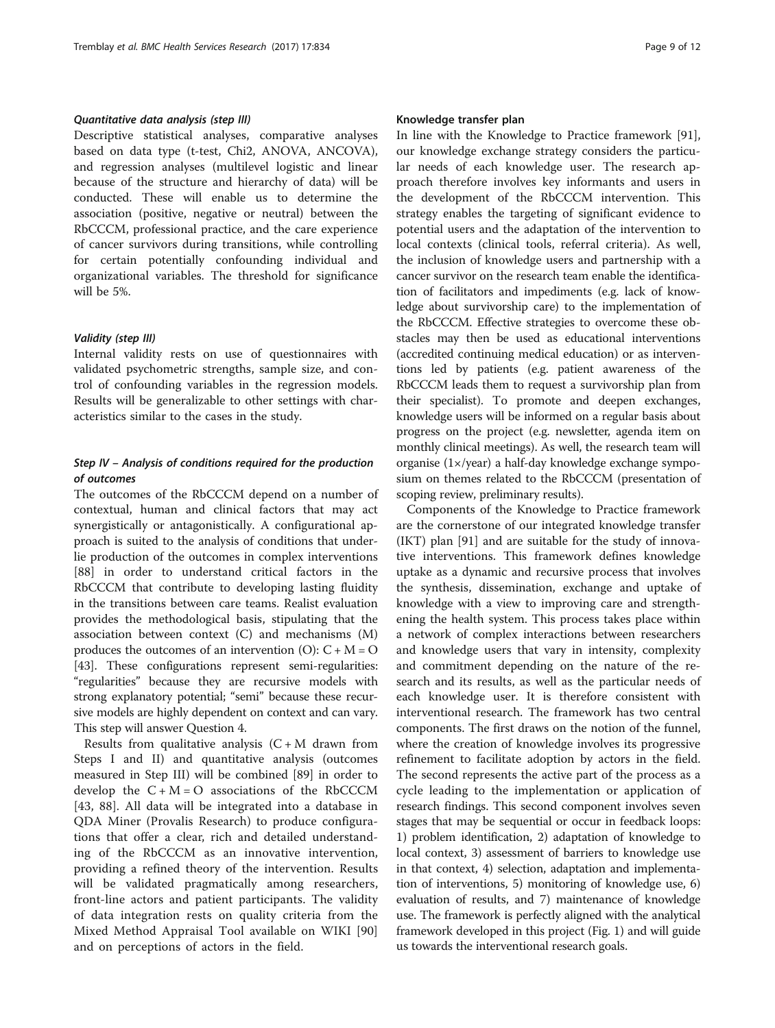## Quantitative data analysis (step III)

Descriptive statistical analyses, comparative analyses based on data type (t-test, Chi2, ANOVA, ANCOVA), and regression analyses (multilevel logistic and linear because of the structure and hierarchy of data) will be conducted. These will enable us to determine the association (positive, negative or neutral) between the RbCCCM, professional practice, and the care experience of cancer survivors during transitions, while controlling for certain potentially confounding individual and organizational variables. The threshold for significance will be 5%.

#### Validity (step III)

Internal validity rests on use of questionnaires with validated psychometric strengths, sample size, and control of confounding variables in the regression models. Results will be generalizable to other settings with characteristics similar to the cases in the study.

## Step IV – Analysis of conditions required for the production of outcomes

The outcomes of the RbCCCM depend on a number of contextual, human and clinical factors that may act synergistically or antagonistically. A configurational approach is suited to the analysis of conditions that underlie production of the outcomes in complex interventions [[88\]](#page-11-0) in order to understand critical factors in the RbCCCM that contribute to developing lasting fluidity in the transitions between care teams. Realist evaluation provides the methodological basis, stipulating that the association between context (C) and mechanisms (M) produces the outcomes of an intervention (O):  $C + M = O$ [[43](#page-10-0)]. These configurations represent semi-regularities: "regularities" because they are recursive models with strong explanatory potential; "semi" because these recursive models are highly dependent on context and can vary. This step will answer Question 4.

Results from qualitative analysis  $(C+M)$  drawn from Steps I and II) and quantitative analysis (outcomes measured in Step III) will be combined [\[89](#page-11-0)] in order to develop the  $C + M = O$  associations of the RbCCCM [[43,](#page-10-0) [88](#page-11-0)]. All data will be integrated into a database in QDA Miner (Provalis Research) to produce configurations that offer a clear, rich and detailed understanding of the RbCCCM as an innovative intervention, providing a refined theory of the intervention. Results will be validated pragmatically among researchers, front-line actors and patient participants. The validity of data integration rests on quality criteria from the Mixed Method Appraisal Tool available on WIKI [\[90](#page-11-0)] and on perceptions of actors in the field.

#### Knowledge transfer plan

In line with the Knowledge to Practice framework [\[91](#page-11-0)], our knowledge exchange strategy considers the particular needs of each knowledge user. The research approach therefore involves key informants and users in the development of the RbCCCM intervention. This strategy enables the targeting of significant evidence to potential users and the adaptation of the intervention to local contexts (clinical tools, referral criteria). As well, the inclusion of knowledge users and partnership with a cancer survivor on the research team enable the identification of facilitators and impediments (e.g. lack of knowledge about survivorship care) to the implementation of the RbCCCM. Effective strategies to overcome these obstacles may then be used as educational interventions (accredited continuing medical education) or as interventions led by patients (e.g. patient awareness of the RbCCCM leads them to request a survivorship plan from their specialist). To promote and deepen exchanges, knowledge users will be informed on a regular basis about progress on the project (e.g. newsletter, agenda item on monthly clinical meetings). As well, the research team will organise (1×/year) a half-day knowledge exchange symposium on themes related to the RbCCCM (presentation of scoping review, preliminary results).

Components of the Knowledge to Practice framework are the cornerstone of our integrated knowledge transfer (IKT) plan [[91\]](#page-11-0) and are suitable for the study of innovative interventions. This framework defines knowledge uptake as a dynamic and recursive process that involves the synthesis, dissemination, exchange and uptake of knowledge with a view to improving care and strengthening the health system. This process takes place within a network of complex interactions between researchers and knowledge users that vary in intensity, complexity and commitment depending on the nature of the research and its results, as well as the particular needs of each knowledge user. It is therefore consistent with interventional research. The framework has two central components. The first draws on the notion of the funnel, where the creation of knowledge involves its progressive refinement to facilitate adoption by actors in the field. The second represents the active part of the process as a cycle leading to the implementation or application of research findings. This second component involves seven stages that may be sequential or occur in feedback loops: 1) problem identification, 2) adaptation of knowledge to local context, 3) assessment of barriers to knowledge use in that context, 4) selection, adaptation and implementation of interventions, 5) monitoring of knowledge use, 6) evaluation of results, and 7) maintenance of knowledge use. The framework is perfectly aligned with the analytical framework developed in this project (Fig. [1\)](#page-3-0) and will guide us towards the interventional research goals.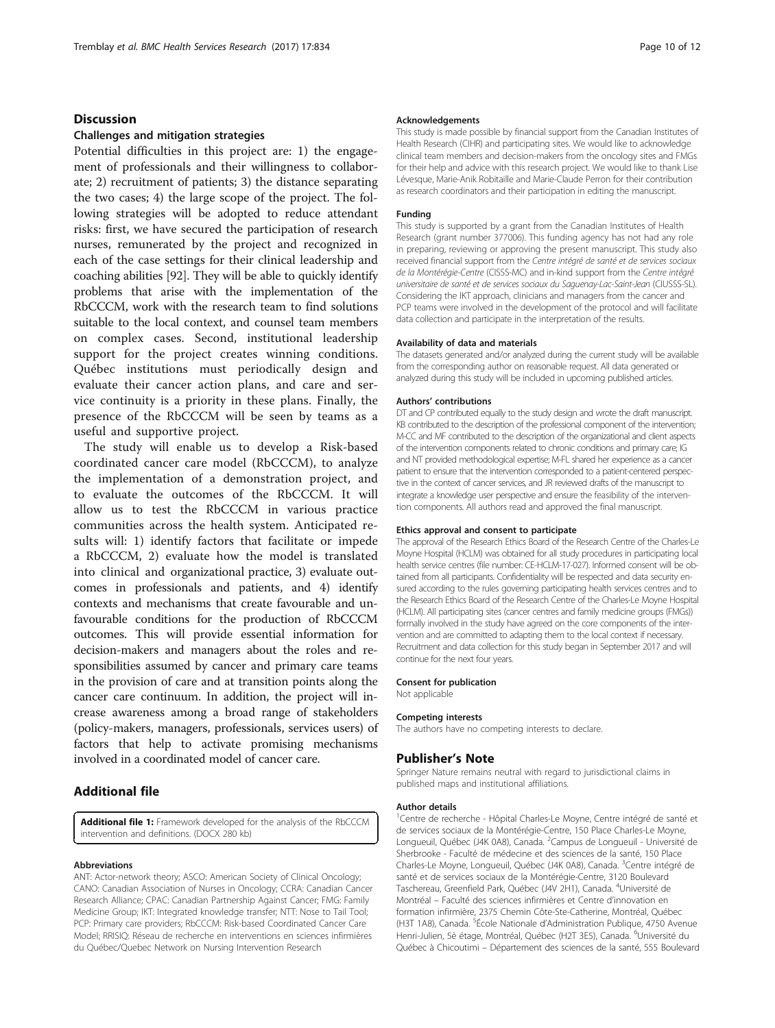## <span id="page-9-0"></span>**Discussion**

#### Challenges and mitigation strategies

Potential difficulties in this project are: 1) the engagement of professionals and their willingness to collaborate; 2) recruitment of patients; 3) the distance separating the two cases; 4) the large scope of the project. The following strategies will be adopted to reduce attendant risks: first, we have secured the participation of research nurses, remunerated by the project and recognized in each of the case settings for their clinical leadership and coaching abilities [[92](#page-11-0)]. They will be able to quickly identify problems that arise with the implementation of the RbCCCM, work with the research team to find solutions suitable to the local context, and counsel team members on complex cases. Second, institutional leadership support for the project creates winning conditions. Québec institutions must periodically design and evaluate their cancer action plans, and care and service continuity is a priority in these plans. Finally, the presence of the RbCCCM will be seen by teams as a useful and supportive project.

The study will enable us to develop a Risk-based coordinated cancer care model (RbCCCM), to analyze the implementation of a demonstration project, and to evaluate the outcomes of the RbCCCM. It will allow us to test the RbCCCM in various practice communities across the health system. Anticipated results will: 1) identify factors that facilitate or impede a RbCCCM, 2) evaluate how the model is translated into clinical and organizational practice, 3) evaluate outcomes in professionals and patients, and 4) identify contexts and mechanisms that create favourable and unfavourable conditions for the production of RbCCCM outcomes. This will provide essential information for decision-makers and managers about the roles and responsibilities assumed by cancer and primary care teams in the provision of care and at transition points along the cancer care continuum. In addition, the project will increase awareness among a broad range of stakeholders (policy-makers, managers, professionals, services users) of factors that help to activate promising mechanisms involved in a coordinated model of cancer care.

## Additional file

[Additional file 1:](dx.doi.org/10.1186/s12913-017-2785-z) Framework developed for the analysis of the RbCCCM intervention and definitions. (DOCX 280 kb)

#### Abbreviations

ANT: Actor-network theory; ASCO: American Society of Clinical Oncology; CANO: Canadian Association of Nurses in Oncology; CCRA: Canadian Cancer Research Alliance; CPAC: Canadian Partnership Against Cancer; FMG: Family Medicine Group; IKT: Integrated knowledge transfer; NTT: Nose to Tail Tool; PCP: Primary care providers; RbCCCM: Risk-based Coordinated Cancer Care Model; RRISIQ: Réseau de recherche en interventions en sciences infirmières du Québec/Quebec Network on Nursing Intervention Research

#### Acknowledgements

This study is made possible by financial support from the Canadian Institutes of Health Research (CIHR) and participating sites. We would like to acknowledge clinical team members and decision-makers from the oncology sites and FMGs for their help and advice with this research project. We would like to thank Lise Lévesque, Marie-Anik Robitaille and Marie-Claude Perron for their contribution as research coordinators and their participation in editing the manuscript.

#### Funding

This study is supported by a grant from the Canadian Institutes of Health Research (grant number 377006). This funding agency has not had any role in preparing, reviewing or approving the present manuscript. This study also received financial support from the Centre intégré de santé et de services sociaux de la Montérégie-Centre (CISSS-MC) and in-kind support from the Centre intégré universitaire de santé et de services sociaux du Saguenay-Lac-Saint-Jean (CIUSSS-SL). Considering the IKT approach, clinicians and managers from the cancer and PCP teams were involved in the development of the protocol and will facilitate data collection and participate in the interpretation of the results.

#### Availability of data and materials

The datasets generated and/or analyzed during the current study will be available from the corresponding author on reasonable request. All data generated or analyzed during this study will be included in upcoming published articles.

#### Authors' contributions

DT and CP contributed equally to the study design and wrote the draft manuscript. KB contributed to the description of the professional component of the intervention; M-CC and MF contributed to the description of the organizational and client aspects of the intervention components related to chronic conditions and primary care; IG and NT provided methodological expertise; M-FL shared her experience as a cancer patient to ensure that the intervention corresponded to a patient-centered perspective in the context of cancer services, and JR reviewed drafts of the manuscript to integrate a knowledge user perspective and ensure the feasibility of the intervention components. All authors read and approved the final manuscript.

#### Ethics approval and consent to participate

The approval of the Research Ethics Board of the Research Centre of the Charles-Le Moyne Hospital (HCLM) was obtained for all study procedures in participating local health service centres (file number: CE-HCLM-17-027). Informed consent will be obtained from all participants. Confidentiality will be respected and data security ensured according to the rules governing participating health services centres and to the Research Ethics Board of the Research Centre of the Charles-Le Moyne Hospital (HCLM). All participating sites (cancer centres and family medicine groups (FMGs)) formally involved in the study have agreed on the core components of the intervention and are committed to adapting them to the local context if necessary. Recruitment and data collection for this study began in September 2017 and will continue for the next four years.

#### Consent for publication

Not applicable

#### Competing interests

The authors have no competing interests to declare.

#### Publisher's Note

Springer Nature remains neutral with regard to jurisdictional claims in published maps and institutional affiliations.

#### Author details

<sup>1</sup> Centre de recherche - Hôpital Charles-Le Moyne, Centre intégré de santé et de services sociaux de la Montérégie-Centre, 150 Place Charles-Le Moyne, Longueuil, Québec (J4K 0A8), Canada. <sup>2</sup> Campus de Longueuil - Université de Sherbrooke - Faculté de médecine et des sciences de la santé, 150 Place Charles-Le Moyne, Longueuil, Québec (J4K 0A8), Canada. <sup>3</sup>Centre intégré de santé et de services sociaux de la Montérégie-Centre, 3120 Boulevard Taschereau, Greenfield Park, Québec (J4V 2H1), Canada. <sup>4</sup>Université de Montréal – Faculté des sciences infirmières et Centre d'innovation en formation infirmière, 2375 Chemin Côte-Ste-Catherine, Montréal, Québec (H3T 1A8), Canada. <sup>5</sup>École Nationale d'Administration Publique, 4750 Avenue Henri-Julien, 5è étage, Montréal, Québec (H2T 3E5), Canada. <sup>6</sup>Université du Québec à Chicoutimi – Département des sciences de la santé, 555 Boulevard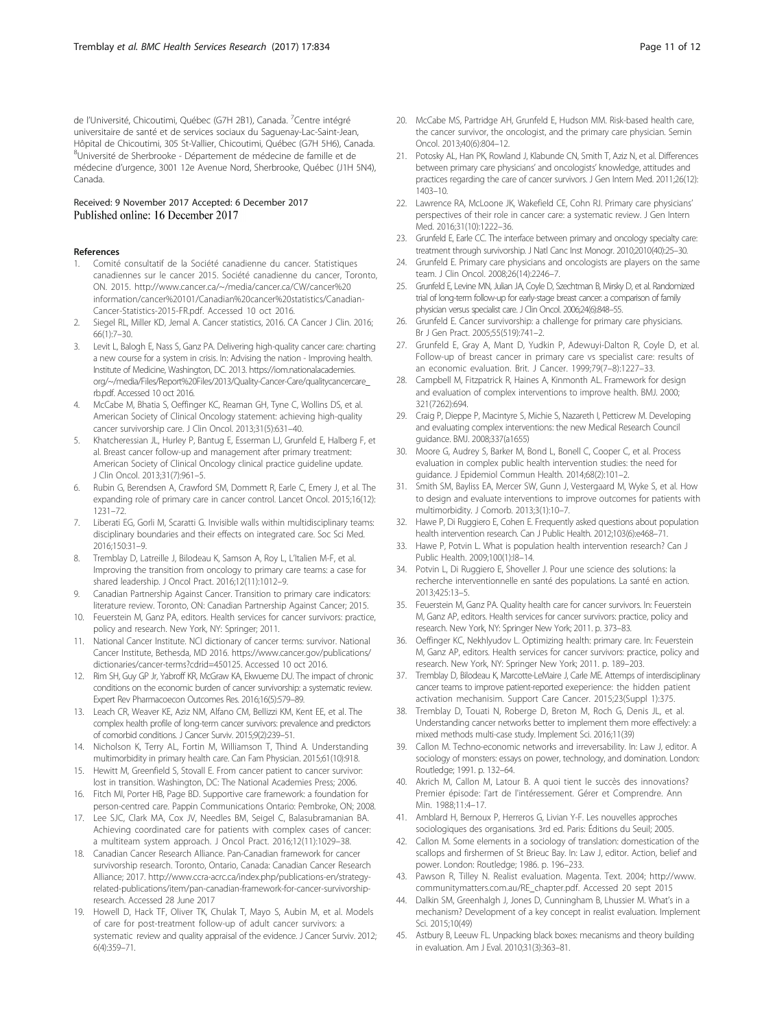<span id="page-10-0"></span>de l'Université, Chicoutimi, Québec (G7H 2B1), Canada. <sup>7</sup>Centre intégré universitaire de santé et de services sociaux du Saguenay-Lac-Saint-Jean, Hôpital de Chicoutimi, 305 St-Vallier, Chicoutimi, Québec (G7H 5H6), Canada. <sup>8</sup>Université de Sherbrooke - Département de médecine de famille et de médecine d'urgence, 3001 12e Avenue Nord, Sherbrooke, Québec (J1H 5N4), Canada.

## Received: 9 November 2017 Accepted: 6 December 2017 Published online: 16 December 2017

#### References

- 1. Comité consultatif de la Société canadienne du cancer. Statistiques canadiennes sur le cancer 2015. Société canadienne du cancer, Toronto, ON. 2015. [http://www.cancer.ca/~/media/cancer.ca/CW/cancer%20](http://www.cancer.ca/~/media/cancer.ca/CW/cancer%20information/cancer%20101/Canadian%20cancer%20statistics/Canadian-Cancer-Statistics-2015-FR.pdf) [information/cancer%20101/Canadian%20cancer%20statistics/Canadian-](http://www.cancer.ca/~/media/cancer.ca/CW/cancer%20information/cancer%20101/Canadian%20cancer%20statistics/Canadian-Cancer-Statistics-2015-FR.pdf)[Cancer-Statistics-2015-FR.pdf.](http://www.cancer.ca/~/media/cancer.ca/CW/cancer%20information/cancer%20101/Canadian%20cancer%20statistics/Canadian-Cancer-Statistics-2015-FR.pdf) Accessed 10 oct 2016.
- 2. Siegel RL, Miller KD, Jemal A. Cancer statistics, 2016. CA Cancer J Clin. 2016; 66(1):7–30.
- 3. Levit L, Balogh E, Nass S, Ganz PA. Delivering high-quality cancer care: charting a new course for a system in crisis. In: Advising the nation - Improving health. Institute of Medicine, Washington, DC. 2013. [https://iom.nationalacademies.](https://iom.nationalacademies.org/~/media/Files/Report%20Files/2013/Quality-Cancer-Care/qualitycancercare_rb.pdf) [org/~/media/Files/Report%20Files/2013/Quality-Cancer-Care/qualitycancercare\\_](https://iom.nationalacademies.org/~/media/Files/Report%20Files/2013/Quality-Cancer-Care/qualitycancercare_rb.pdf) [rb.pdf](https://iom.nationalacademies.org/~/media/Files/Report%20Files/2013/Quality-Cancer-Care/qualitycancercare_rb.pdf). Accessed 10 oct 2016.
- 4. McCabe M, Bhatia S, Oeffinger KC, Reaman GH, Tyne C, Wollins DS, et al. American Society of Clinical Oncology statement: achieving high-quality cancer survivorship care. J Clin Oncol. 2013;31(5):631–40.
- 5. Khatcheressian JL, Hurley P, Bantug E, Esserman LJ, Grunfeld E, Halberg F, et al. Breast cancer follow-up and management after primary treatment: American Society of Clinical Oncology clinical practice guideline update. J Clin Oncol. 2013;31(7):961–5.
- 6. Rubin G, Berendsen A, Crawford SM, Dommett R, Earle C, Emery J, et al. The expanding role of primary care in cancer control. Lancet Oncol. 2015;16(12): 1231–72.
- 7. Liberati EG, Gorli M, Scaratti G. Invisible walls within multidisciplinary teams: disciplinary boundaries and their effects on integrated care. Soc Sci Med. 2016;150:31–9.
- Tremblay D, Latreille J, Bilodeau K, Samson A, Roy L, L'Italien M-F, et al. Improving the transition from oncology to primary care teams: a case for shared leadership. J Oncol Pract. 2016;12(11):1012–9.
- 9. Canadian Partnership Against Cancer. Transition to primary care indicators: literature review. Toronto, ON: Canadian Partnership Against Cancer; 2015.
- 10. Feuerstein M, Ganz PA, editors. Health services for cancer survivors: practice, policy and research. New York, NY: Springer; 2011.
- 11. National Cancer Institute. NCI dictionary of cancer terms: survivor. National Cancer Institute, Bethesda, MD 2016. [https://www.cancer.gov/publications/](https://www.cancer.gov/publications/dictionaries/cancer-terms?cdrid=450125) [dictionaries/cancer-terms?cdrid=450125](https://www.cancer.gov/publications/dictionaries/cancer-terms?cdrid=450125). Accessed 10 oct 2016.
- 12. Rim SH, Guy GP Jr, Yabroff KR, McGraw KA, Ekwueme DU. The impact of chronic conditions on the economic burden of cancer survivorship: a systematic review. Expert Rev Pharmacoecon Outcomes Res. 2016;16(5):579–89.
- 13. Leach CR, Weaver KE, Aziz NM, Alfano CM, Bellizzi KM, Kent EE, et al. The complex health profile of long-term cancer survivors: prevalence and predictors of comorbid conditions. J Cancer Surviv. 2015;9(2):239–51.
- 14. Nicholson K, Terry AL, Fortin M, Williamson T, Thind A. Understanding multimorbidity in primary health care. Can Fam Physician. 2015;61(10):918.
- 15. Hewitt M, Greenfield S, Stovall E. From cancer patient to cancer survivor: lost in transition. Washington, DC: The National Academies Press; 2006.
- 16. Fitch MI, Porter HB, Page BD. Supportive care framework: a foundation for person-centred care. Pappin Communications Ontario: Pembroke, ON; 2008.
- 17. Lee SJC, Clark MA, Cox JV, Needles BM, Seigel C, Balasubramanian BA. Achieving coordinated care for patients with complex cases of cancer: a multiteam system approach. J Oncol Pract. 2016;12(11):1029–38.
- 18. Canadian Cancer Research Alliance. Pan-Canadian framework for cancer survivorship research. Toronto, Ontario, Canada: Canadian Cancer Research Alliance; 2017. [http://www.ccra-acrc.ca/index.php/publications-en/strategy](http://www.ccra-acrc.ca/index.php/publications-en/strategy-related-publications/item/pan-canadian-framework-for-cancer-survivorship-research)[related-publications/item/pan-canadian-framework-for-cancer-survivorship](http://www.ccra-acrc.ca/index.php/publications-en/strategy-related-publications/item/pan-canadian-framework-for-cancer-survivorship-research)[research](http://www.ccra-acrc.ca/index.php/publications-en/strategy-related-publications/item/pan-canadian-framework-for-cancer-survivorship-research). Accessed 28 June 2017
- 19. Howell D, Hack TF, Oliver TK, Chulak T, Mayo S, Aubin M, et al. Models of care for post-treatment follow-up of adult cancer survivors: a systematic review and quality appraisal of the evidence. J Cancer Surviv. 2012; 6(4):359–71.
- 20. McCabe MS, Partridge AH, Grunfeld E, Hudson MM. Risk-based health care, the cancer survivor, the oncologist, and the primary care physician. Semin Oncol. 2013;40(6):804–12.
- 21. Potosky AL, Han PK, Rowland J, Klabunde CN, Smith T, Aziz N, et al. Differences between primary care physicians' and oncologists' knowledge, attitudes and practices regarding the care of cancer survivors. J Gen Intern Med. 2011;26(12): 1403–10.
- 22. Lawrence RA, McLoone JK, Wakefield CE, Cohn RJ. Primary care physicians' perspectives of their role in cancer care: a systematic review. J Gen Intern Med. 2016;31(10):1222–36.
- 23. Grunfeld E, Earle CC. The interface between primary and oncology specialty care: treatment through survivorship. J Natl Canc Inst Monogr. 2010;2010(40):25–30.
- 24. Grunfeld E. Primary care physicians and oncologists are players on the same team. J Clin Oncol. 2008;26(14):2246–7.
- 25. Grunfeld E, Levine MN, Julian JA, Coyle D, Szechtman B, Mirsky D, et al. Randomized trial of long-term follow-up for early-stage breast cancer: a comparison of family physician versus specialist care. J Clin Oncol. 2006;24(6):848–55.
- 26. Grunfeld E. Cancer survivorship: a challenge for primary care physicians. Br J Gen Pract. 2005;55(519):741–2.
- 27. Grunfeld E, Gray A, Mant D, Yudkin P, Adewuyi-Dalton R, Coyle D, et al. Follow-up of breast cancer in primary care vs specialist care: results of an economic evaluation. Brit. J Cancer. 1999;79(7–8):1227–33.
- 28. Campbell M, Fitzpatrick R, Haines A, Kinmonth AL. Framework for design and evaluation of complex interventions to improve health. BMJ. 2000; 321(7262):694.
- 29. Craig P, Dieppe P, Macintyre S, Michie S, Nazareth I, Petticrew M. Developing and evaluating complex interventions: the new Medical Research Council guidance. BMJ. 2008;337(a1655)
- 30. Moore G, Audrey S, Barker M, Bond L, Bonell C, Cooper C, et al. Process evaluation in complex public health intervention studies: the need for guidance. J Epidemiol Commun Health. 2014;68(2):101–2.
- 31. Smith SM, Bayliss EA, Mercer SW, Gunn J, Vestergaard M, Wyke S, et al. How to design and evaluate interventions to improve outcomes for patients with multimorbidity. J Comorb. 2013;3(1):10–7.
- 32. Hawe P, Di Ruggiero E, Cohen E. Frequently asked questions about population health intervention research. Can J Public Health. 2012;103(6):e468–71.
- 33. Hawe P, Potvin L. What is population health intervention research? Can J Public Health. 2009;100(1):I8–14.
- 34. Potvin L, Di Ruggiero E, Shoveller J. Pour une science des solutions: la recherche interventionnelle en santé des populations. La santé en action. 2013;425:13–5.
- 35. Feuerstein M, Ganz PA. Quality health care for cancer survivors. In: Feuerstein M, Ganz AP, editors. Health services for cancer survivors: practice, policy and research. New York, NY: Springer New York; 2011. p. 373–83.
- 36. Oeffinger KC, Nekhlyudov L. Optimizing health: primary care. In: Feuerstein M, Ganz AP, editors. Health services for cancer survivors: practice, policy and research. New York, NY: Springer New York; 2011. p. 189–203.
- 37. Tremblay D, Bilodeau K, Marcotte-LeMaire J, Carle ME. Attemps of interdisciplinary cancer teams to improve patient-reported exeperience: the hidden patient activation mechanisim. Support Care Cancer. 2015;23(Suppl 1):375.
- 38. Tremblay D, Touati N, Roberge D, Breton M, Roch G, Denis JL, et al. Understanding cancer networks better to implement them more effectively: a mixed methods multi-case study. Implement Sci. 2016;11(39)
- 39. Callon M. Techno-economic networks and irreversability. In: Law J, editor. A sociology of monsters: essays on power, technology, and domination. London: Routledge; 1991. p. 132–64.
- 40. Akrich M, Callon M, Latour B. A quoi tient le succès des innovations? Premier épisode: l'art de l'intéressement. Gérer et Comprendre. Ann Min. 1988;11:4–17.
- 41. Amblard H, Bernoux P, Herreros G, Livian Y-F. Les nouvelles approches sociologiques des organisations. 3rd ed. Paris: Éditions du Seuil; 2005.
- 42. Callon M. Some elements in a sociology of translation: domestication of the scallops and firshermen of St Brieuc Bay. In: Law J, editor. Action, belief and power. London: Routledge; 1986. p. 196–233.
- 43. Pawson R, Tilley N. Realist evaluation. Magenta. Text. 2004; [http://www.](http://www.communitymatters.com.au/RE_chapter.pdf) [communitymatters.com.au/RE\\_chapter.pdf](http://www.communitymatters.com.au/RE_chapter.pdf). Accessed 20 sept 2015
- 44. Dalkin SM, Greenhalgh J, Jones D, Cunningham B, Lhussier M. What's in a mechanism? Development of a key concept in realist evaluation. Implement Sci. 2015;10(49)
- 45. Astbury B, Leeuw FL. Unpacking black boxes: mecanisms and theory building in evaluation. Am J Eval. 2010;31(3):363–81.